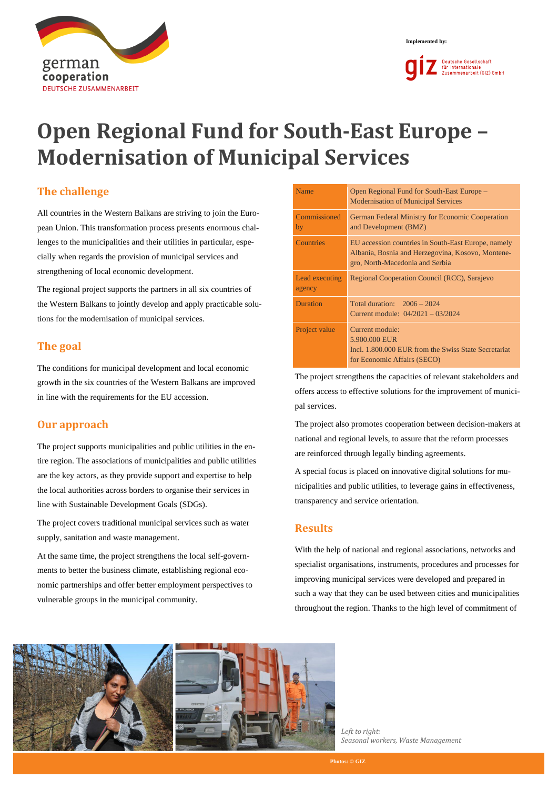



# **Open Regional Fund for South-East Europe – Modernisation of Municipal Services**

## **The challenge**

All countries in the Western Balkans are striving to join the European Union. This transformation process presents enormous challenges to the municipalities and their utilities in particular, especially when regards the provision of municipal services and strengthening of local economic development.

The regional project supports the partners in all six countries of the Western Balkans to jointly develop and apply practicable solutions for the modernisation of municipal services.

# **The goal**

The conditions for municipal development and local economic growth in the six countries of the Western Balkans are improved in line with the requirements for the EU accession.

### **Our approach**

The project supports municipalities and public utilities in the entire region. The associations of municipalities and public utilities are the key actors, as they provide support and expertise to help the local authorities across borders to organise their services in line with Sustainable Development Goals (SDGs).

The project covers traditional municipal services such as water supply, sanitation and waste management.

At the same time, the project strengthens the local self-governments to better the business climate, establishing regional economic partnerships and offer better employment perspectives to vulnerable groups in the municipal community.

| Name                     | Open Regional Fund for South-East Europe –<br><b>Modernisation of Municipal Services</b>                                                    |  |
|--------------------------|---------------------------------------------------------------------------------------------------------------------------------------------|--|
| Commissioned<br>by       | German Federal Ministry for Economic Cooperation<br>and Development (BMZ)                                                                   |  |
| <b>Countries</b>         | EU accession countries in South-East Europe, namely<br>Albania, Bosnia and Herzegovina, Kosovo, Montene-<br>gro, North-Macedonia and Serbia |  |
| Lead executing<br>agency | Regional Cooperation Council (RCC), Sarajevo                                                                                                |  |
| <b>Duration</b>          | Total duration: $2006 - 2024$<br>Current module: $04/2021 - 03/2024$                                                                        |  |
| Project value            | Current module:<br>5.900,000 EUR<br>Incl. 1,800,000 EUR from the Swiss State Secretariat<br>for Economic Affairs (SECO)                     |  |

The project strengthens the capacities of relevant stakeholders and offers access to effective solutions for the improvement of municipal services.

The project also promotes cooperation between decision-makers at national and regional levels, to assure that the reform processes are reinforced through legally binding agreements.

A special focus is placed on innovative digital solutions for municipalities and public utilities, to leverage gains in effectiveness, transparency and service orientation.

### **Results**

With the help of national and regional associations, networks and specialist organisations, instruments, procedures and processes for improving municipal services were developed and prepared in such a way that they can be used between cities and municipalities throughout the region. Thanks to the high level of commitment of



*Left to right: Seasonal workers, Waste Management*

**Photos: © GIZ**